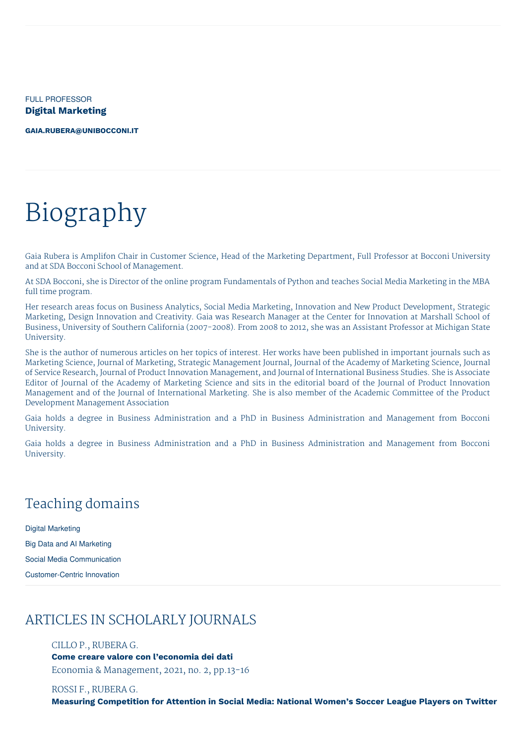FULL PROFESSOR **Digital Marketing**

**[GAIA.RUBERA@UNIBOCCONI.IT](mailto:gaia.rubera@unibocconi.it)**

# Biography

Gaia Rubera is Amplifon Chair in Customer Science, Head of the Marketing Department, Full Professor at Bocconi University and at SDA Bocconi School of Management.

At SDA Bocconi, she is Director of the online program Fundamentals of Python and teaches Social Media Marketing in the MBA full time program.

Her research areas focus on Business Analytics, Social Media Marketing, Innovation and New Product Development, Strategic Marketing, Design Innovation and Creativity. Gaia was Research Manager at the Center for Innovation at Marshall School of Business, University of Southern California (2007-2008). From 2008 to 2012, she was an Assistant Professor at Michigan State University.

She is the author of numerous articles on her topics of interest. Her works have been published in important journals such as Marketing Science, Journal of Marketing, Strategic Management Journal, Journal of the Academy of Marketing Science, Journal of Service Research, Journal of Product Innovation Management, and Journal of International Business Studies. She is Associate Editor of Journal of the Academy of Marketing Science and sits in the editorial board of the Journal of Product Innovation Management and of the Journal of International Marketing. She is also member of the Academic Committee of the Product Development Management Association

Gaia holds a degree in Business Administration and a PhD in Business Administration and Management from Bocconi University.

Gaia holds a degree in Business Administration and a PhD in Business Administration and Management from Bocconi University.

# Teaching domains

Digital Marketing Big Data and AI Marketing Social Media Communication Customer-Centric Innovation

# ARTICLES IN SCHOLARLY JOURNALS

## CILLO P., RUBERA G.

**Come creare valore con l'economia dei dati** Economia & Management, 2021, no. 2, pp.13-16

ROSSI F., RUBERA G.

**Measuring Competition for Attention in Social Media: National Women's Soccer League Players on Twitter**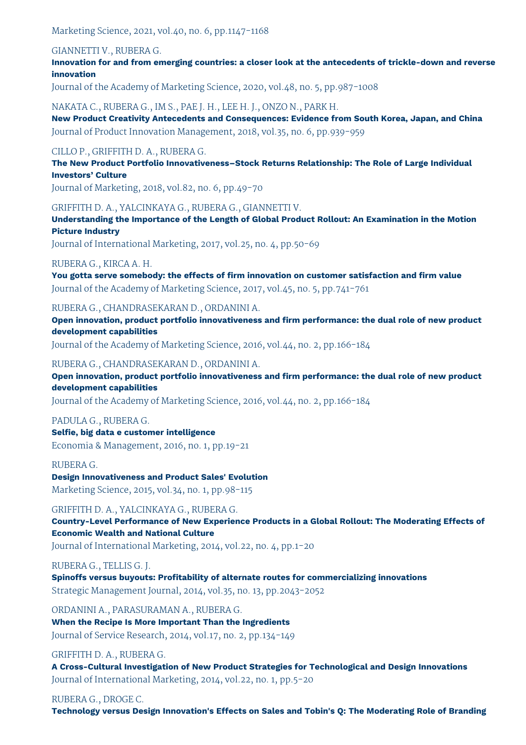Marketing Science, 2021, vol.40, no. 6, pp.1147-1168

## GIANNETTI V., RUBERA G.

**Innovation for and from emerging countries: a closer look at the antecedents of trickle-down and reverse innovation**

Journal of the Academy of Marketing Science, 2020, vol.48, no. 5, pp.987-1008

NAKATA C., RUBERA G., IM S., PAE J. H., LEE H. J., ONZO N., PARK H. **New Product Creativity Antecedents and Consequences: Evidence from South Korea, Japan, and China** Journal of Product Innovation Management, 2018, vol.35, no. 6, pp.939-959

# CILLO P., GRIFFITH D. A., RUBERA G.

**The New Product Portfolio Innovativeness–Stock Returns Relationship: The Role of Large Individual Investors' Culture**

Journal of Marketing, 2018, vol.82, no. 6, pp.49-70

# GRIFFITH D. A., YALCINKAYA G., RUBERA G., GIANNETTI V.

**Understanding the Importance of the Length of Global Product Rollout: An Examination in the Motion Picture Industry**

Journal of International Marketing, 2017, vol.25, no. 4, pp.50-69

RUBERA G., KIRCA A. H.

**You gotta serve somebody: the effects of firm innovation on customer satisfaction and firm value** Journal of the Academy of Marketing Science, 2017, vol.45, no. 5, pp.741-761

# RUBERA G., CHANDRASEKARAN D., ORDANINI A.

**Open innovation, product portfolio innovativeness and firm performance: the dual role of new product development capabilities**

Journal of the Academy of Marketing Science, 2016, vol.44, no. 2, pp.166-184

# RUBERA G., CHANDRASEKARAN D., ORDANINI A.

**Open innovation, product portfolio innovativeness and firm performance: the dual role of new product development capabilities**

Journal of the Academy of Marketing Science, 2016, vol.44, no. 2, pp.166-184

# PADULA G., RUBERA G. **Selfie, big data e customer intelligence**

Economia & Management, 2016, no. 1, pp.19-21

RUBERA G.

# **Design Innovativeness and Product Sales' Evolution** Marketing Science, 2015, vol.34, no. 1, pp.98-115

# GRIFFITH D. A., YALCINKAYA G., RUBERA G.

**Country-Level Performance of New Experience Products in a Global Rollout: The Moderating Effects of Economic Wealth and National Culture** Journal of International Marketing, 2014, vol.22, no. 4, pp.1-20

RUBERA G., TELLIS G. J.

**Spinoffs versus buyouts: Profitability of alternate routes for commercializing innovations** Strategic Management Journal, 2014, vol.35, no. 13, pp.2043-2052

ORDANINI A., PARASURAMAN A., RUBERA G. **When the Recipe Is More Important Than the Ingredients** Journal of Service Research, 2014, vol.17, no. 2, pp.134-149

# GRIFFITH D. A., RUBERA G.

**A Cross-Cultural Investigation of New Product Strategies for Technological and Design Innovations** Journal of International Marketing, 2014, vol.22, no. 1, pp.5-20

RUBERA G., DROGE C.

**Technology versus Design Innovation's Effects on Sales and Tobin's Q: The Moderating Role of Branding**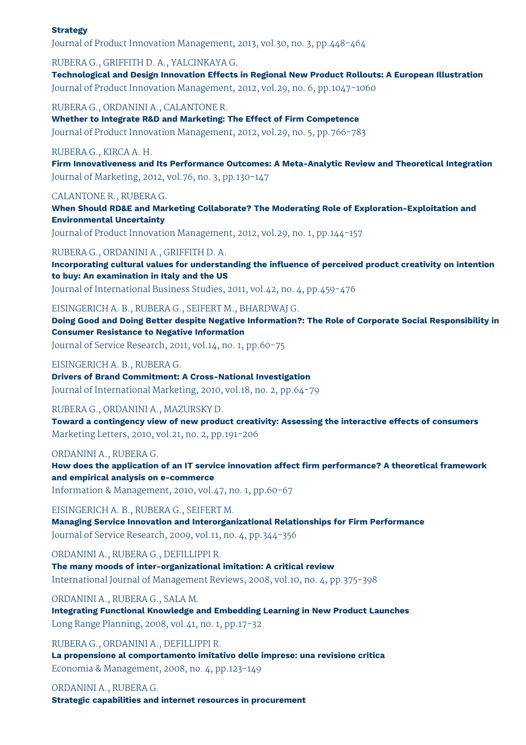#### **Strategy**

Journal of Product Innovation Management, 2013, vol.30, no. 3, pp.448-464

RUBERA G., GRIFFITH D. A., YALCINKAYA G.

**Technological and Design Innovation Effects in Regional New Product Rollouts: A European Illustration** Journal of Product Innovation Management, 2012, vol.29, no. 6, pp.1047-1060

RUBERA G., ORDANINI A., CALANTONE R.

**Whether to Integrate R&D and Marketing: The Effect of Firm Competence** Journal of Product Innovation Management, 2012, vol.29, no. 5, pp.766-783

## RUBERA G., KIRCA A. H.

**Firm Innovativeness and Its Performance Outcomes: A Meta-Analytic Review and Theoretical Integration** Journal of Marketing, 2012, vol.76, no. 3, pp.130-147

#### CALANTONE R., RUBERA G.

**When Should RD&E and Marketing Collaborate? The Moderating Role of Exploration-Exploitation and Environmental Uncertainty**

Journal of Product Innovation Management, 2012, vol.29, no. 1, pp.144-157

#### RUBERA G., ORDANINI A., GRIFFITH D. A.

**Incorporating cultural values for understanding the influence of perceived product creativity on intention to buy: An examination in Italy and the US**

Journal of International Business Studies, 2011, vol.42, no. 4, pp.459-476

## EISINGERICH A. B., RUBERA G., SEIFERT M., BHARDWAJ G.

**Doing Good and Doing Better despite Negative Information?: The Role of Corporate Social Responsibility in Consumer Resistance to Negative Information**

Journal of Service Research, 2011, vol.14, no. 1, pp.60-75

#### EISINGERICH A. B., RUBERA G.

**Drivers of Brand Commitment: A Cross-National Investigation** Journal of International Marketing, 2010, vol.18, no. 2, pp.64-79

#### RUBERA G., ORDANINI A., MAZURSKY D.

**Toward a contingency view of new product creativity: Assessing the interactive effects of consumers** Marketing Letters, 2010, vol.21, no. 2, pp.191-206

#### ORDANINI A., RUBERA G.

**How does the application of an IT service innovation affect firm performance? A theoretical framework and empirical analysis on e-commerce**

Information & Management, 2010, vol.47, no. 1, pp.60-67

#### EISINGERICH A. B., RUBERA G., SEIFERT M.

**Managing Service Innovation and Interorganizational Relationships for Firm Performance** Journal of Service Research, 2009, vol.11, no. 4, pp.344-356

#### ORDANINI A., RUBERA G., DEFILLIPPI R.

**The many moods of inter-organizational imitation: A critical review** International Journal of Management Reviews, 2008, vol.10, no. 4, pp.375-398

ORDANINI A., RUBERA G., SALA M.

**Integrating Functional Knowledge and Embedding Learning in New Product Launches** Long Range Planning, 2008, vol.41, no. 1, pp.17-32

## RUBERA G., ORDANINI A., DEFILLIPPI R.

**La propensione al comportamento imitativo delle imprese: una revisione critica** Economia & Management, 2008, no. 4, pp.123-149

## ORDANINI A., RUBERA G.

**Strategic capabilities and internet resources in procurement**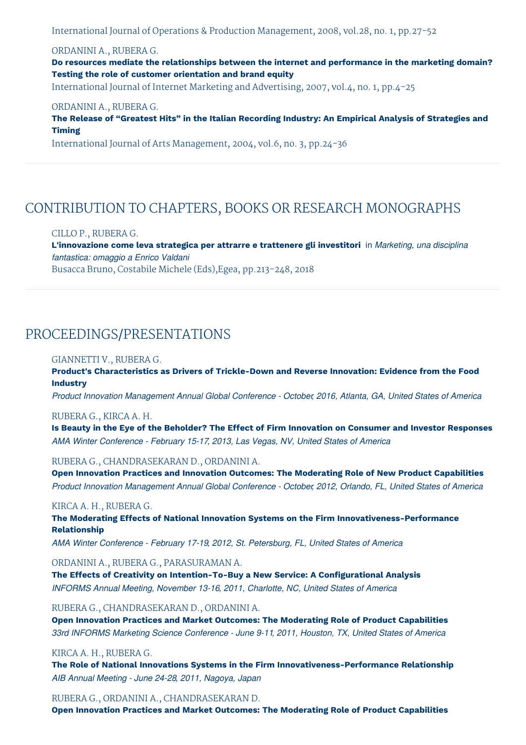International Journal of Operations & Production Management, 2008, vol.28, no. 1, pp.27-52

## ORDANINI A., RUBERA G.

**Do resources mediate the relationships between the internet and performance in the marketing domain? Testing the role of customer orientation and brand equity**

International Journal of Internet Marketing and Advertising, 2007, vol.4, no. 1, pp.4-25

#### ORDANINI A., RUBERA G.

**The Release of "Greatest Hits" in the Italian Recording Industry: An Empirical Analysis of Strategies and Timing**

International Journal of Arts Management, 2004, vol.6, no. 3, pp.24-36

# CONTRIBUTION TO CHAPTERS, BOOKS OR RESEARCH MONOGRAPHS

CILLO P., RUBERA G. **L'innovazione come leva strategica per attrarre e trattenere gli investitori** in *Marketing, una disciplina fantastica: omaggio a Enrico Valdani* Busacca Bruno, Costabile Michele (Eds),Egea, pp.213-248, 2018

# PROCEEDINGS/PRESENTATIONS

#### GIANNETTI V., RUBERA G.

**Product's Characteristics as Drivers of Trickle-Down and Reverse Innovation: Evidence from the Food Industry**

*Product Innovation Management Annual Global Conference - October, 2016, Atlanta, GA, United States of America*

#### RUBERA G., KIRCA A. H.

Is Beauty in the Eye of the Beholder? The Effect of Firm Innovation on Consumer and Investor Responses *AMA Winter Conference - February 15-17, 2013, Las Vegas, NV, United States of America*

#### RUBERA G., CHANDRASEKARAN D., ORDANINI A.

**Open Innovation Practices and Innovation Outcomes: The Moderating Role of New Product Capabilities** *Product Innovation Management Annual Global Conference - October, 2012, Orlando, FL, United States of America*

#### KIRCA A. H., RUBERA G.

**The Moderating Effects of National Innovation Systems on the Firm Innovativeness-Performance Relationship**

*AMA Winter Conference - February 17-19, 2012, St. Petersburg, FL, United States of America*

#### ORDANINI A., RUBERA G., PARASURAMAN A.

**The Effects of Creativity on Intention-To-Buy a New Service: A Configurational Analysis** *INFORMS Annual Meeting, November 13-16, 2011, Charlotte, NC, United States of America*

RUBERA G., CHANDRASEKARAN D., ORDANINI A.

**Open Innovation Practices and Market Outcomes: The Moderating Role of Product Capabilities** *33rd INFORMS Marketing Science Conference - June 9-11, 2011, Houston, TX, United States of America*

#### KIRCA A. H., RUBERA G.

**The Role of National Innovations Systems in the Firm Innovativeness-Performance Relationship** *AIB Annual Meeting - June 24-28, 2011, Nagoya, Japan*

RUBERA G., ORDANINI A., CHANDRASEKARAN D.

**Open Innovation Practices and Market Outcomes: The Moderating Role of Product Capabilities**